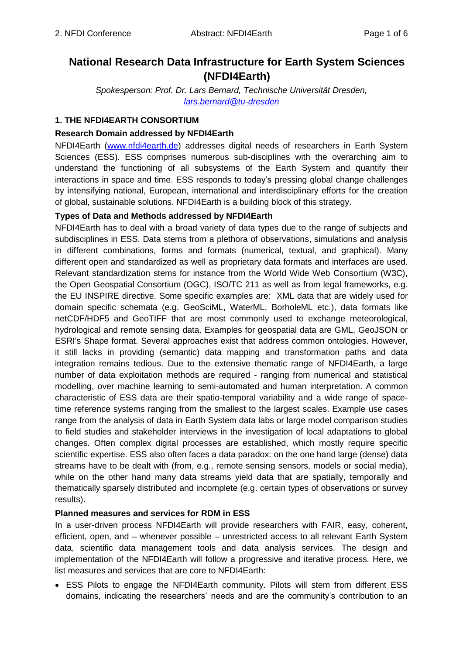# **National Research Data Infrastructure for Earth System Sciences (NFDI4Earth)**

*Spokesperson: Prof. Dr. Lars Bernard, Technische Universität Dresden, [lars.bernard@tu-dresden](mailto:lars.bernard@tu-dresden)*

# **1. THE NFDI4EARTH CONSORTIUM**

#### **Research Domain addressed by NFDI4Earth**

NFDI4Earth [\(www.nfdi4earth.de\)](https://www.nfdi4earth.de/) addresses digital needs of researchers in Earth System Sciences (ESS). ESS comprises numerous sub-disciplines with the overarching aim to understand the functioning of all subsystems of the Earth System and quantify their interactions in space and time. ESS responds to today's pressing global change challenges by intensifying national, European, international and interdisciplinary efforts for the creation of global, sustainable solutions. NFDI4Earth is a building block of this strategy.

# **Types of Data and Methods addressed by NFDI4Earth**

NFDI4Earth has to deal with a broad variety of data types due to the range of subjects and subdisciplines in ESS. Data stems from a plethora of observations, simulations and analysis in different combinations, forms and formats (numerical, textual, and graphical). Many different open and standardized as well as proprietary data formats and interfaces are used. Relevant standardization stems for instance from the World Wide Web Consortium (W3C), the Open Geospatial Consortium (OGC), ISO/TC 211 as well as from legal frameworks, e.g. the EU INSPIRE directive. Some specific examples are: XML data that are widely used for domain specific schemata (e.g. GeoSciML, WaterML, BorholeML etc.), data formats like netCDF/HDF5 and GeoTIFF that are most commonly used to exchange meteorological, hydrological and remote sensing data. Examples for geospatial data are GML, GeoJSON or ESRI's Shape format. Several approaches exist that address common ontologies. However, it still lacks in providing (semantic) data mapping and transformation paths and data integration remains tedious. Due to the extensive thematic range of NFDI4Earth, a large number of data exploitation methods are required - ranging from numerical and statistical modelling, over machine learning to semi-automated and human interpretation. A common characteristic of ESS data are their spatio-temporal variability and a wide range of spacetime reference systems ranging from the smallest to the largest scales. Example use cases range from the analysis of data in Earth System data labs or large model comparison studies to field studies and stakeholder interviews in the investigation of local adaptations to global changes. Often complex digital processes are established, which mostly require specific scientific expertise. ESS also often faces a data paradox: on the one hand large (dense) data streams have to be dealt with (from, e.g., remote sensing sensors, models or social media), while on the other hand many data streams yield data that are spatially, temporally and thematically sparsely distributed and incomplete (e.g. certain types of observations or survey results).

#### **Planned measures and services for RDM in ESS**

In a user-driven process NFDI4Earth will provide researchers with FAIR, easy, coherent, efficient, open, and – whenever possible – unrestricted access to all relevant Earth System data, scientific data management tools and data analysis services. The design and implementation of the NFDI4Earth will follow a progressive and iterative process. Here, we list measures and services that are core to NFDI4Earth:

 ESS Pilots to engage the NFDI4Earth community. Pilots will stem from different ESS domains, indicating the researchers' needs and are the community's contribution to an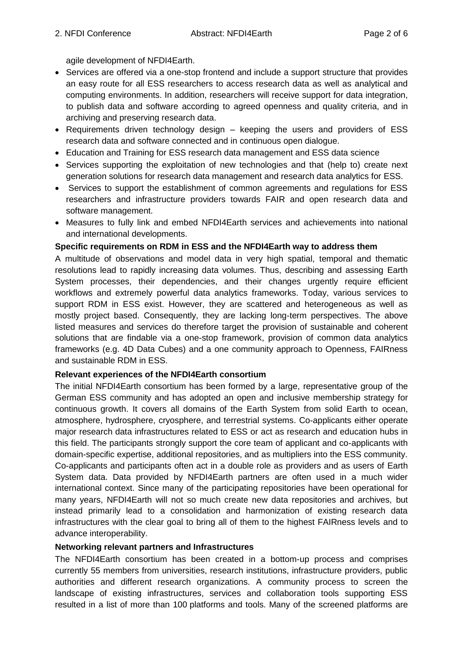agile development of NFDI4Earth.

- Services are offered via a one-stop frontend and include a support structure that provides an easy route for all ESS researchers to access research data as well as analytical and computing environments. In addition, researchers will receive support for data integration, to publish data and software according to agreed openness and quality criteria, and in archiving and preserving research data.
- Requirements driven technology design  $-$  keeping the users and providers of ESS research data and software connected and in continuous open dialogue.
- Education and Training for ESS research data management and ESS data science
- Services supporting the exploitation of new technologies and that (help to) create next generation solutions for research data management and research data analytics for ESS.
- Services to support the establishment of common agreements and regulations for ESS researchers and infrastructure providers towards FAIR and open research data and software management.
- Measures to fully link and embed NFDI4Earth services and achievements into national and international developments.

#### **Specific requirements on RDM in ESS and the NFDI4Earth way to address them**

A multitude of observations and model data in very high spatial, temporal and thematic resolutions lead to rapidly increasing data volumes. Thus, describing and assessing Earth System processes, their dependencies, and their changes urgently require efficient workflows and extremely powerful data analytics frameworks. Today, various services to support RDM in ESS exist. However, they are scattered and heterogeneous as well as mostly project based. Consequently, they are lacking long-term perspectives. The above listed measures and services do therefore target the provision of sustainable and coherent solutions that are findable via a one-stop framework, provision of common data analytics frameworks (e.g. 4D Data Cubes) and a one community approach to Openness, FAIRness and sustainable RDM in ESS.

#### **Relevant experiences of the NFDI4Earth consortium**

The initial NFDI4Earth consortium has been formed by a large, representative group of the German ESS community and has adopted an open and inclusive membership strategy for continuous growth. It covers all domains of the Earth System from solid Earth to ocean, atmosphere, hydrosphere, cryosphere, and terrestrial systems. Co-applicants either operate major research data infrastructures related to ESS or act as research and education hubs in this field. The participants strongly support the core team of applicant and co-applicants with domain-specific expertise, additional repositories, and as multipliers into the ESS community. Co-applicants and participants often act in a double role as providers and as users of Earth System data. Data provided by NFDI4Earth partners are often used in a much wider international context. Since many of the participating repositories have been operational for many years, NFDI4Earth will not so much create new data repositories and archives, but instead primarily lead to a consolidation and harmonization of existing research data infrastructures with the clear goal to bring all of them to the highest FAIRness levels and to advance interoperability.

#### **Networking relevant partners and Infrastructures**

The NFDI4Earth consortium has been created in a bottom-up process and comprises currently 55 members from universities, research institutions, infrastructure providers, public authorities and different research organizations. A community process to screen the landscape of existing infrastructures, services and collaboration tools supporting ESS resulted in a list of more than 100 platforms and tools. Many of the screened platforms are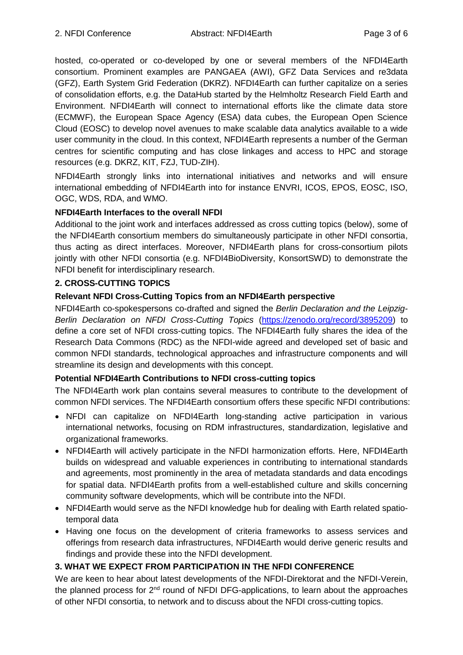hosted, co-operated or co-developed by one or several members of the NFDI4Earth consortium. Prominent examples are PANGAEA (AWI), GFZ Data Services and re3data (GFZ), Earth System Grid Federation (DKRZ). NFDI4Earth can further capitalize on a series of consolidation efforts, e.g. the DataHub started by the Helmholtz Research Field Earth and Environment. NFDI4Earth will connect to international efforts like the climate data store (ECMWF), the European Space Agency (ESA) data cubes, the European Open Science Cloud (EOSC) to develop novel avenues to make scalable data analytics available to a wide user community in the cloud. In this context, NFDI4Earth represents a number of the German centres for scientific computing and has close linkages and access to HPC and storage resources (e.g. DKRZ, KIT, FZJ, TUD-ZIH).

NFDI4Earth strongly links into international initiatives and networks and will ensure international embedding of NFDI4Earth into for instance ENVRI, ICOS, EPOS, EOSC, ISO, OGC, WDS, RDA, and WMO.

# **NFDI4Earth Interfaces to the overall NFDI**

Additional to the joint work and interfaces addressed as cross cutting topics (below), some of the NFDI4Earth consortium members do simultaneously participate in other NFDI consortia, thus acting as direct interfaces. Moreover, NFDI4Earth plans for cross-consortium pilots jointly with other NFDI consortia (e.g. NFDI4BioDiversity, KonsortSWD) to demonstrate the NFDI benefit for interdisciplinary research.

# **2. CROSS-CUTTING TOPICS**

# **Relevant NFDI Cross-Cutting Topics from an NFDI4Earth perspective**

NFDI4Earth co-spokespersons co-drafted and signed the *Berlin Declaration and the Leipzig-Berlin Declaration on NFDI Cross-Cutting Topics* [\(https://zenodo.org/record/3895209\)](https://zenodo.org/record/3895209) to define a core set of NFDI cross-cutting topics. The NFDI4Earth fully shares the idea of the Research Data Commons (RDC) as the NFDI-wide agreed and developed set of basic and common NFDI standards, technological approaches and infrastructure components and will streamline its design and developments with this concept.

#### **Potential NFDI4Earth Contributions to NFDI cross-cutting topics**

The NFDI4Earth work plan contains several measures to contribute to the development of common NFDI services. The NFDI4Earth consortium offers these specific NFDI contributions:

- NFDI can capitalize on NFDI4Earth long-standing active participation in various international networks, focusing on RDM infrastructures, standardization, legislative and organizational frameworks.
- NFDI4Earth will actively participate in the NFDI harmonization efforts. Here, NFDI4Earth builds on widespread and valuable experiences in contributing to international standards and agreements, most prominently in the area of metadata standards and data encodings for spatial data. NFDI4Earth profits from a well-established culture and skills concerning community software developments, which will be contribute into the NFDI.
- NFDI4Earth would serve as the NFDI knowledge hub for dealing with Earth related spatiotemporal data
- Having one focus on the development of criteria frameworks to assess services and offerings from research data infrastructures, NFDI4Earth would derive generic results and findings and provide these into the NFDI development.

# **3. WHAT WE EXPECT FROM PARTICIPATION IN THE NFDI CONFERENCE**

We are keen to hear about latest developments of the NFDI-Direktorat and the NFDI-Verein, the planned process for  $2^{nd}$  round of NFDI DFG-applications, to learn about the approaches of other NFDI consortia, to network and to discuss about the NFDI cross-cutting topics.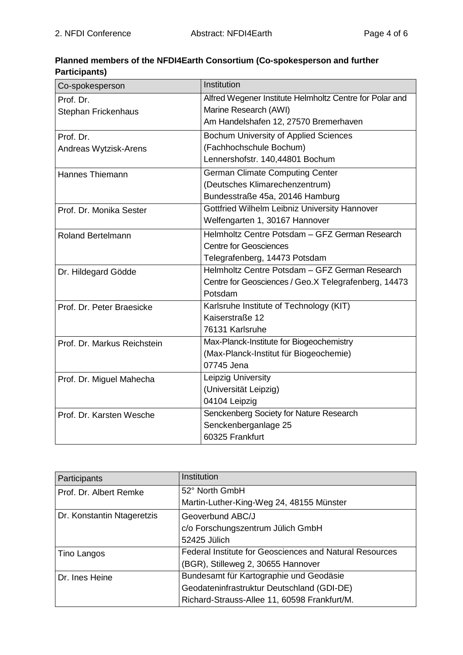# **Planned members of the NFDI4Earth Consortium (Co-spokesperson and further Participants)**

| Co-spokesperson             | Institution                                             |
|-----------------------------|---------------------------------------------------------|
| Prof. Dr.                   | Alfred Wegener Institute Helmholtz Centre for Polar and |
| <b>Stephan Frickenhaus</b>  | Marine Research (AWI)                                   |
|                             | Am Handelshafen 12, 27570 Bremerhaven                   |
| Prof. Dr.                   | <b>Bochum University of Applied Sciences</b>            |
| Andreas Wytzisk-Arens       | (Fachhochschule Bochum)                                 |
|                             | Lennershofstr. 140,44801 Bochum                         |
| <b>Hannes Thiemann</b>      | <b>German Climate Computing Center</b>                  |
|                             | (Deutsches Klimarechenzentrum)                          |
|                             | Bundesstraße 45a, 20146 Hamburg                         |
| Prof. Dr. Monika Sester     | Gottfried Wilhelm Leibniz University Hannover           |
|                             | Welfengarten 1, 30167 Hannover                          |
| <b>Roland Bertelmann</b>    | Helmholtz Centre Potsdam - GFZ German Research          |
|                             | <b>Centre for Geosciences</b>                           |
|                             | Telegrafenberg, 14473 Potsdam                           |
| Dr. Hildegard Gödde         | Helmholtz Centre Potsdam - GFZ German Research          |
|                             | Centre for Geosciences / Geo.X Telegrafenberg, 14473    |
|                             | Potsdam                                                 |
| Prof. Dr. Peter Braesicke   | Karlsruhe Institute of Technology (KIT)                 |
|                             | Kaiserstraße 12                                         |
|                             | 76131 Karlsruhe                                         |
| Prof. Dr. Markus Reichstein | Max-Planck-Institute for Biogeochemistry                |
|                             | (Max-Planck-Institut für Biogeochemie)                  |
|                             | 07745 Jena                                              |
| Prof. Dr. Miguel Mahecha    | Leipzig University                                      |
|                             | (Universität Leipzig)                                   |
|                             | 04104 Leipzig                                           |
| Prof. Dr. Karsten Wesche    | Senckenberg Society for Nature Research                 |
|                             | Senckenberganlage 25                                    |
|                             | 60325 Frankfurt                                         |

| Participants               | Institution                                                    |
|----------------------------|----------------------------------------------------------------|
| Prof. Dr. Albert Remke     | 52° North GmbH                                                 |
|                            | Martin-Luther-King-Weg 24, 48155 Münster                       |
| Dr. Konstantin Ntageretzis | Geoverbund ABC/J                                               |
|                            | c/o Forschungszentrum Jülich GmbH                              |
|                            | 52425 Jülich                                                   |
| Tino Langos                | <b>Federal Institute for Geosciences and Natural Resources</b> |
|                            | (BGR), Stilleweg 2, 30655 Hannover                             |
| Dr. Ines Heine             | Bundesamt für Kartographie und Geodäsie                        |
|                            | Geodateninfrastruktur Deutschland (GDI-DE)                     |
|                            | Richard-Strauss-Allee 11, 60598 Frankfurt/M.                   |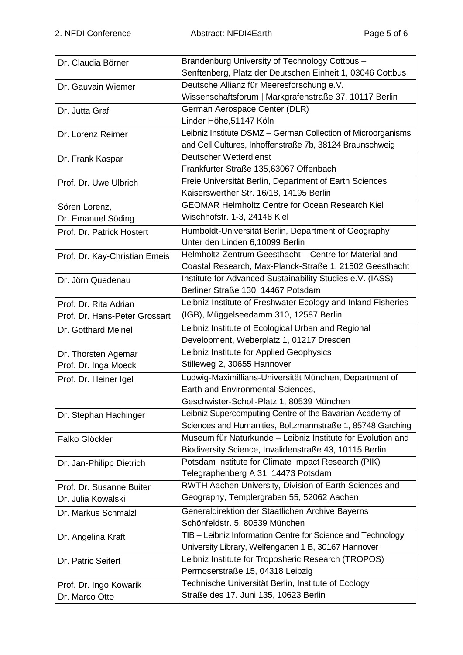| Dr. Claudia Börner            | Brandenburg University of Technology Cottbus -               |
|-------------------------------|--------------------------------------------------------------|
|                               | Senftenberg, Platz der Deutschen Einheit 1, 03046 Cottbus    |
| Dr. Gauvain Wiemer            | Deutsche Allianz für Meeresforschung e.V.                    |
|                               | Wissenschaftsforum   Markgrafenstraße 37, 10117 Berlin       |
| Dr. Jutta Graf                | German Aerospace Center (DLR)                                |
|                               | Linder Höhe, 51147 Köln                                      |
| Dr. Lorenz Reimer             | Leibniz Institute DSMZ - German Collection of Microorganisms |
|                               | and Cell Cultures, Inhoffenstraße 7b, 38124 Braunschweig     |
| Dr. Frank Kaspar              | Deutscher Wetterdienst                                       |
|                               | Frankfurter Straße 135,63067 Offenbach                       |
| Prof. Dr. Uwe Ulbrich         | Freie Universität Berlin, Department of Earth Sciences       |
|                               | Kaiserswerther Str. 16/18, 14195 Berlin                      |
| Sören Lorenz,                 | <b>GEOMAR Helmholtz Centre for Ocean Research Kiel</b>       |
| Dr. Emanuel Söding            | Wischhofstr. 1-3, 24148 Kiel                                 |
| Prof. Dr. Patrick Hostert     | Humboldt-Universität Berlin, Department of Geography         |
|                               | Unter den Linden 6,10099 Berlin                              |
| Prof. Dr. Kay-Christian Emeis | Helmholtz-Zentrum Geesthacht - Centre for Material and       |
|                               | Coastal Research, Max-Planck-Straße 1, 21502 Geesthacht      |
| Dr. Jörn Quedenau             | Institute for Advanced Sustainability Studies e.V. (IASS)    |
|                               | Berliner Straße 130, 14467 Potsdam                           |
| Prof. Dr. Rita Adrian         | Leibniz-Institute of Freshwater Ecology and Inland Fisheries |
| Prof. Dr. Hans-Peter Grossart | (IGB), Müggelseedamm 310, 12587 Berlin                       |
| Dr. Gotthard Meinel           | Leibniz Institute of Ecological Urban and Regional           |
|                               | Development, Weberplatz 1, 01217 Dresden                     |
| Dr. Thorsten Agemar           | Leibniz Institute for Applied Geophysics                     |
| Prof. Dr. Inga Moeck          | Stilleweg 2, 30655 Hannover                                  |
| Prof. Dr. Heiner Igel         | Ludwig-Maximillians-Universität München, Department of       |
|                               | Earth and Environmental Sciences,                            |
|                               | Geschwister-Scholl-Platz 1, 80539 München                    |
| Dr. Stephan Hachinger         | Leibniz Supercomputing Centre of the Bavarian Academy of     |
|                               | Sciences and Humanities, Boltzmannstraße 1, 85748 Garching   |
| Falko Glöckler                | Museum für Naturkunde - Leibniz Institute for Evolution and  |
|                               | Biodiversity Science, Invalidenstraße 43, 10115 Berlin       |
| Dr. Jan-Philipp Dietrich      | Potsdam Institute for Climate Impact Research (PIK)          |
|                               | Telegraphenberg A 31, 14473 Potsdam                          |
| Prof. Dr. Susanne Buiter      | RWTH Aachen University, Division of Earth Sciences and       |
| Dr. Julia Kowalski            | Geography, Templergraben 55, 52062 Aachen                    |
| Dr. Markus Schmalzl           | Generaldirektion der Staatlichen Archive Bayerns             |
|                               | Schönfeldstr. 5, 80539 München                               |
| Dr. Angelina Kraft            | TIB - Leibniz Information Centre for Science and Technology  |
|                               | University Library, Welfengarten 1 B, 30167 Hannover         |
| Dr. Patric Seifert            | Leibniz Institute for Troposheric Research (TROPOS)          |
|                               | Permoserstraße 15, 04318 Leipzig                             |
| Prof. Dr. Ingo Kowarik        | Technische Universität Berlin, Institute of Ecology          |
| Dr. Marco Otto                | Straße des 17. Juni 135, 10623 Berlin                        |